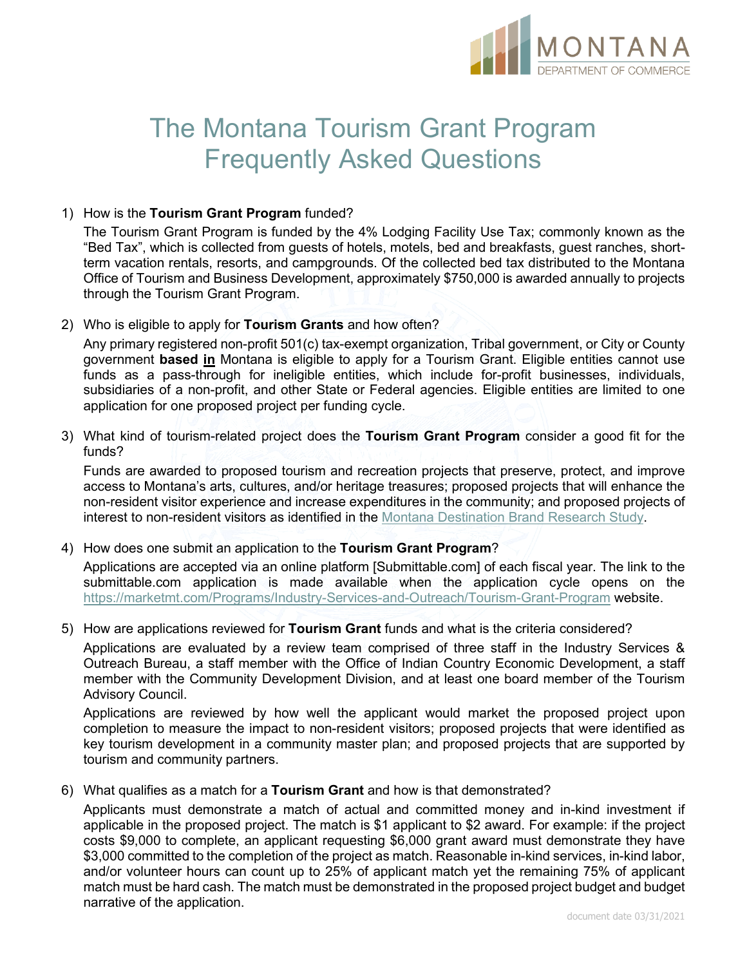

# The Montana Tourism Grant Program Frequently Asked Questions

#### 1) How is the **Tourism Grant Program** funded?

The Tourism Grant Program is funded by the 4% Lodging Facility Use Tax; commonly known as the "Bed Tax", which is collected from guests of hotels, motels, bed and breakfasts, guest ranches, shortterm vacation rentals, resorts, and campgrounds. Of the collected bed tax distributed to the Montana Office of Tourism and Business Development, approximately \$750,000 is awarded annually to projects through the Tourism Grant Program.

2) Who is eligible to apply for **Tourism Grants** and how often?

Any primary registered non-profit 501(c) tax-exempt organization, Tribal government, or City or County government **based in** Montana is eligible to apply for a Tourism Grant. Eligible entities cannot use funds as a pass-through for ineligible entities, which include for-profit businesses, individuals, subsidiaries of a non-profit, and other State or Federal agencies. Eligible entities are limited to one application for one proposed project per funding cycle.

3) What kind of tourism-related project does the **Tourism Grant Program** consider a good fit for the funds?

Funds are awarded to proposed tourism and recreation projects that preserve, protect, and improve access to Montana's arts, cultures, and/or heritage treasures; proposed projects that will enhance the non-resident visitor experience and increase expenditures in the community; and proposed projects of interest to non-resident visitors as identified in the [Montana Destination Brand Research](https://marketmt.com/Portals/129/shared/docs/pdf/brandResearch.pdf?ver=2018-06-13-085235-560) Study.

4) How does one submit an application to the **Tourism Grant Program**?

Applications are accepted via an online platform [Submittable.com] of each fiscal year. The link to the submittable.com application is made available when the application cycle opens on the <https://marketmt.com/Programs/Industry-Services-and-Outreach/Tourism-Grant-Program> website.

5) How are applications reviewed for **Tourism Grant** funds and what is the criteria considered?

Applications are evaluated by a review team comprised of three staff in the Industry Services & Outreach Bureau, a staff member with the Office of Indian Country Economic Development, a staff member with the Community Development Division, and at least one board member of the Tourism Advisory Council.

Applications are reviewed by how well the applicant would market the proposed project upon completion to measure the impact to non-resident visitors; proposed projects that were identified as key tourism development in a community master plan; and proposed projects that are supported by tourism and community partners.

6) What qualifies as a match for a **Tourism Grant** and how is that demonstrated?

Applicants must demonstrate a match of actual and committed money and in-kind investment if applicable in the proposed project. The match is \$1 applicant to \$2 award. For example: if the project costs \$9,000 to complete, an applicant requesting \$6,000 grant award must demonstrate they have \$3,000 committed to the completion of the project as match. Reasonable in-kind services, in-kind labor, and/or volunteer hours can count up to 25% of applicant match yet the remaining 75% of applicant match must be hard cash. The match must be demonstrated in the proposed project budget and budget narrative of the application.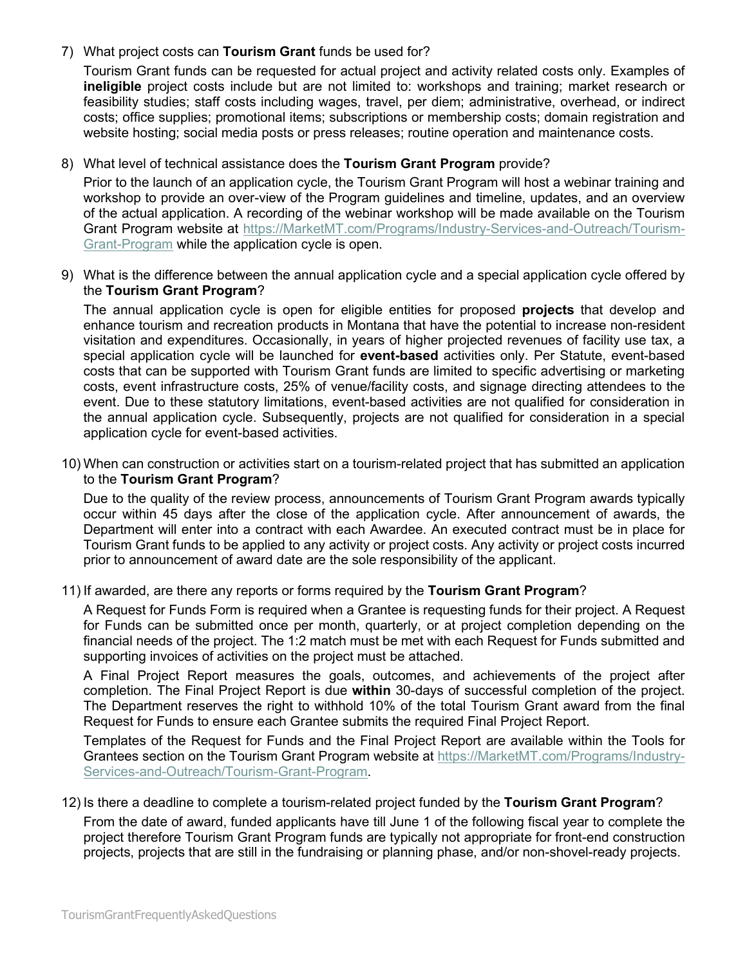7) What project costs can **Tourism Grant** funds be used for?

Tourism Grant funds can be requested for actual project and activity related costs only. Examples of **ineligible** project costs include but are not limited to: workshops and training; market research or feasibility studies; staff costs including wages, travel, per diem; administrative, overhead, or indirect costs; office supplies; promotional items; subscriptions or membership costs; domain registration and website hosting; social media posts or press releases; routine operation and maintenance costs.

# 8) What level of technical assistance does the **Tourism Grant Program** provide?

Prior to the launch of an application cycle, the Tourism Grant Program will host a webinar training and workshop to provide an over-view of the Program guidelines and timeline, updates, and an overview of the actual application. A recording of the webinar workshop will be made available on the Tourism Grant Program website at [https://MarketMT.com/Programs/Industry-Services-and-Outreach/Tourism-](https://marketmt.com/TourismGrants#Tools-Resources-FAQ-s-2592)[Grant-Program](https://marketmt.com/TourismGrants#Tools-Resources-FAQ-s-2592) while the application cycle is open.

9) What is the difference between the annual application cycle and a special application cycle offered by the **Tourism Grant Program**?

The annual application cycle is open for eligible entities for proposed **projects** that develop and enhance tourism and recreation products in Montana that have the potential to increase non-resident visitation and expenditures. Occasionally, in years of higher projected revenues of facility use tax, a special application cycle will be launched for **event-based** activities only. Per Statute, event-based costs that can be supported with Tourism Grant funds are limited to specific advertising or marketing costs, event infrastructure costs, 25% of venue/facility costs, and signage directing attendees to the event. Due to these statutory limitations, event-based activities are not qualified for consideration in the annual application cycle. Subsequently, projects are not qualified for consideration in a special application cycle for event-based activities.

10) When can construction or activities start on a tourism-related project that has submitted an application to the **Tourism Grant Program**?

Due to the quality of the review process, announcements of Tourism Grant Program awards typically occur within 45 days after the close of the application cycle. After announcement of awards, the Department will enter into a contract with each Awardee. An executed contract must be in place for Tourism Grant funds to be applied to any activity or project costs. Any activity or project costs incurred prior to announcement of award date are the sole responsibility of the applicant.

## 11) If awarded, are there any reports or forms required by the **Tourism Grant Program**?

A Request for Funds Form is required when a Grantee is requesting funds for their project. A Request for Funds can be submitted once per month, quarterly, or at project completion depending on the financial needs of the project. The 1:2 match must be met with each Request for Funds submitted and supporting invoices of activities on the project must be attached.

A Final Project Report measures the goals, outcomes, and achievements of the project after completion. The Final Project Report is due **within** 30-days of successful completion of the project. The Department reserves the right to withhold 10% of the total Tourism Grant award from the final Request for Funds to ensure each Grantee submits the required Final Project Report.

Templates of the Request for Funds and the Final Project Report are available within the Tools for Grantees section on the Tourism Grant Program website at [https://MarketMT.com/Programs/Industry-](https://marketmt.com/TourismGrants#Tools-Resources-FAQ-s-2592)[Services-and-Outreach/Tourism-Grant-Program.](https://marketmt.com/TourismGrants#Tools-Resources-FAQ-s-2592)

## 12) Is there a deadline to complete a tourism-related project funded by the **Tourism Grant Program**?

From the date of award, funded applicants have till June 1 of the following fiscal year to complete the project therefore Tourism Grant Program funds are typically not appropriate for front-end construction projects, projects that are still in the fundraising or planning phase, and/or non-shovel-ready projects.